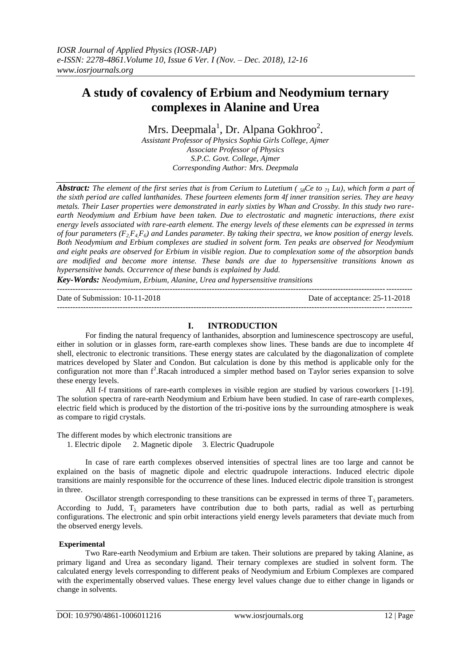# **A study of covalency of Erbium and Neodymium ternary complexes in Alanine and Urea**

Mrs. Deepmala<sup>1</sup>, Dr. Alpana Gokhroo<sup>2</sup>.

*Assistant Professor of Physics Sophia Girls College, Ajmer Associate Professor of Physics S.P.C. Govt. College, Ajmer Corresponding Author: Mrs. Deepmala*

*Abstract: The element of the first series that is from Cerium to Lutetium (* $\frac{1}{28}$ *Ce to*  $\frac{1}{21}$  *Lu), which form a part of and the series that is from Cerium to Lutetium (* $\frac{1}{28}$ *Ce to*  $\frac{1}{21}$  *Lu), which form the sixth period are called lanthanides. These fourteen elements form 4f inner transition series. They are heavy metals. Their Laser properties were demonstrated in early sixties by Whan and Crossby. In this study two rareearth Neodymium and Erbium have been taken. Due to electrostatic and magnetic interactions, there exist energy levels associated with rare-earth element. The energy levels of these elements can be expressed in terms of four parameters (F2,F4,F6) and Landes parameter. By taking their spectra, we know position of energy levels. Both Neodymium and Erbium complexes are studied in solvent form. Ten peaks are observed for Neodymium and eight peaks are observed for Erbium in visible region. Due to complexation some of the absorption bands are modified and become more intense. These bands are due to hypersensitive transitions known as hypersensitive bands. Occurrence of these bands is explained by Judd.*

*Key-Words: Neodymium, Erbium, Alanine, Urea and hypersensitive transitions* ---------------------------------------------------------------------------------------------------------------------------------------

Date of Submission: 10-11-2018 Date of acceptance: 25-11-2018

# **I. INTRODUCTION**

---------------------------------------------------------------------------------------------------------------------------------------

For finding the natural frequency of lanthanides, absorption and luminescence spectroscopy are useful, either in solution or in glasses form, rare-earth complexes show lines. These bands are due to incomplete 4f shell, electronic to electronic transitions. These energy states are calculated by the diagonalization of complete matrices developed by Slater and Condon. But calculation is done by this method is applicable only for the configuration not more than  $f^2$ .Racah introduced a simpler method based on Taylor series expansion to solve these energy levels.

All f-f transitions of rare-earth complexes in visible region are studied by various coworkers [1-19]. The solution spectra of rare-earth Neodymium and Erbium have been studied. In case of rare-earth complexes, electric field which is produced by the distortion of the tri-positive ions by the surrounding atmosphere is weak as compare to rigid crystals.

The different modes by which electronic transitions are

1. Electric dipole 2. Magnetic dipole 3. Electric Quadrupole

In case of rare earth complexes observed intensities of spectral lines are too large and cannot be explained on the basis of magnetic dipole and electric quadrupole interactions. Induced electric dipole transitions are mainly responsible for the occurrence of these lines. Induced electric dipole transition is strongest in three.

Oscillator strength corresponding to these transitions can be expressed in terms of three  $T_{\lambda}$  parameters. According to Judd,  $T<sub>2</sub>$  parameters have contribution due to both parts, radial as well as perturbing configurations. The electronic and spin orbit interactions yield energy levels parameters that deviate much from the observed energy levels.

# **Experimental**

Two Rare-earth Neodymium and Erbium are taken. Their solutions are prepared by taking Alanine, as primary ligand and Urea as secondary ligand. Their ternary complexes are studied in solvent form. The calculated energy levels corresponding to different peaks of Neodymium and Erbium Complexes are compared with the experimentally observed values. These energy level values change due to either change in ligands or change in solvents.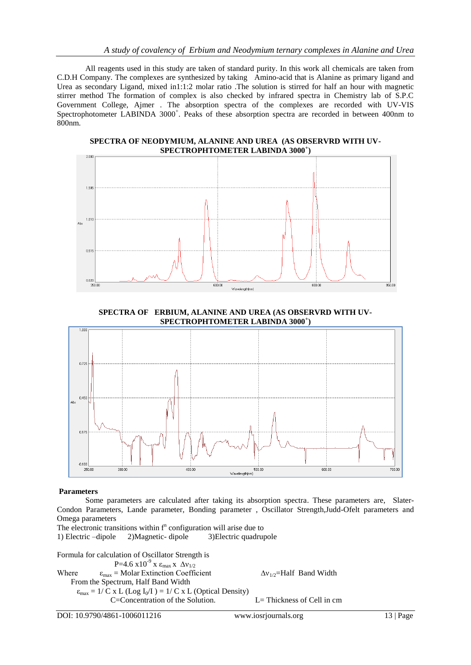All reagents used in this study are taken of standard purity. In this work all chemicals are taken from C.D.H Company. The complexes are synthesized by taking Amino-acid that is Alanine as primary ligand and Urea as secondary Ligand, mixed in1:1:2 molar ratio .The solution is stirred for half an hour with magnetic stirrer method The formation of complex is also checked by infrared spectra in Chemistry lab of S.P.C Government College, Ajmer . The absorption spectra of the complexes are recorded with UV-VIS Spectrophotometer LABINDA 3000<sup>+</sup>. Peaks of these absorption spectra are recorded in between 400nm to 800nm.

**SPECTRA OF NEODYMIUM, ALANINE AND UREA (AS OBSERVRD WITH UV-SPECTROPHTOMETER LABINDA 3000<sup>+</sup> )**



**SPECTRA OF ERBIUM, ALANINE AND UREA (AS OBSERVRD WITH UV-SPECTROPHTOMETER LABINDA 3000<sup>+</sup> )**



# **Parameters**

Some parameters are calculated after taking its absorption spectra. These parameters are, Slater-Condon Parameters, Lande parameter, Bonding parameter , Oscillator Strength,Judd-Ofelt parameters and Omega parameters

The electronic transitions within  $f<sup>n</sup>$  configuration will arise due to 1) Electric –dipole 2)Magnetic- dipole 3)Electric quadrupole

Formula for calculation of Oscillator Strength is P=4.6 x10<sup>-9</sup> x ε<sub>max</sub> x Δν<sub>1/2</sub> Where  $\epsilon_{\text{max}} = \text{Molar Extinction Coefficient}$   $\Delta v_{1/2} = \text{Half Band Width}$  From the Spectrum, Half Band Width  $\varepsilon_{\text{max}} = 1/\overline{C}$  x L (Log I<sub>0</sub>/I) = 1/ C x L (Optical Density) C=Concentration of the Solution. L= Thickness of Cell in cm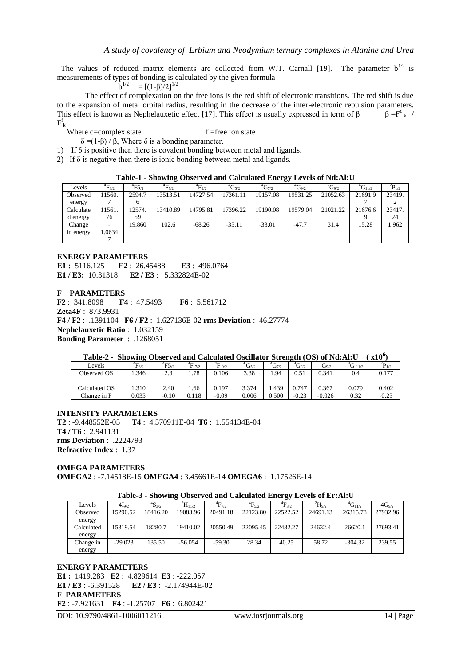The values of reduced matrix elements are collected from W.T. Carnall [19]. The parameter  $b^{1/2}$  is measurements of types of bonding is calculated by the given formula

 b  $b^{1/2}$  $= [(1-\beta)/2]^{1/2}$ 

The effect of complexation on the free ions is the red shift of electronic transitions. The red shift is due to the expansion of metal orbital radius, resulting in the decrease of the inter-electronic repulsion parameters. This effect is known as Nephelauxetic effect [17]. This effect is usually expressed in term of  $\beta$  $\beta = F^c_k$  /  $F^f_{\ k}$ 

Where  $c =$ complex state  $f =$ free ion state

 $δ = (1-β) / β$ , Where δ is a bonding parameter.

1) If  $\delta$  is positive then there is covalent bonding between metal and ligands.

2) If  $\delta$  is negative then there is ionic bonding between metal and ligands.

| Table-1 - Showing Observed and Calculated Energy Levels of Nd:Al:U |  |  |
|--------------------------------------------------------------------|--|--|
|                                                                    |  |  |

| Levels    | $\rm ^4F_{3/2}$ | $\mathrm{^{4}F5_{\odot}}$ | $\rm ^4F_{7/2}$ | $\rm ^4F_{9/2}$ | $\rm ^{4}G_{5/2}$ | $\rm ^{4}G_{7/2}$ | $\mathrm{^{4}G_{9/2}}$ | ${}^{2}G_{9/2}$ | $\rm ^{4}G_{11/2}$ | ${}^{2}P_{1/2}$ |
|-----------|-----------------|---------------------------|-----------------|-----------------|-------------------|-------------------|------------------------|-----------------|--------------------|-----------------|
| Observed  | 11560.          | 2594.7                    | 13513.51        | 14727.54        | 17361.11          | 19157.08          | 19531.25               | 21052.63        | 21691.9            | 23419.          |
| energy    |                 | 6                         |                 |                 |                   |                   |                        |                 |                    |                 |
| Calculate | 11561.          | 12574.                    | 13410.89        | 14795.81        | 17396.22          | 19190.08          | 19579.04               | 21021.22        | 21676.6            | 23417.          |
| d energy  | 76              | 59                        |                 |                 |                   |                   |                        |                 |                    | 24              |
| Change    | ٠.              | 19.860                    | 102.6           | $-68.26$        | $-35.11$          | $-33.01$          | $-47.7$                | 31.4            | 15.28              | 1.962           |
| in energy | 1.0634          |                           |                 |                 |                   |                   |                        |                 |                    |                 |
|           |                 |                           |                 |                 |                   |                   |                        |                 |                    |                 |

#### **ENERGY PARAMETERS**

**E1 :** 5116.125 **E2** : 26.45488 **E3** : 496.0764 **E1 / E3:** 10.31318 **E2 / E3** : 5.332824E-02

**F PARAMETERS**

**F2** : 341.8098 **F4** : 47.5493 **F6** : 5.561712 **Zeta4F** : 873.9931 **F4 / F2** : .1391104 **F6 / F2** : 1.627136E-02 **rms Deviation** : 46.27774 **Nephelauxetic Ratio** : 1.032159 **Bonding Parameter** : .1268051

|  |  | Table-2 - Showing Observed and Calculated Oscillator Strength (OS) of Nd:Al:U (x10 <sup>6</sup> ) |  |  |
|--|--|---------------------------------------------------------------------------------------------------|--|--|
|  |  |                                                                                                   |  |  |

| ---<br>------ |                 |                        |                  |                   |                         |                   |                 |                 |                |                 |
|---------------|-----------------|------------------------|------------------|-------------------|-------------------------|-------------------|-----------------|-----------------|----------------|-----------------|
| Levels        | $\rm ^4F_{3/2}$ | $\mathrm{^{4}F5_{/2}}$ | $^{4}F$ $_{7/2}$ | $^{4}$ F $_{9/2}$ | $^{4}$ G <sub>5/2</sub> | $\rm ^{4}G_{7/2}$ | ${}^{4}G_{9/2}$ | ${}^{2}G_{9/2}$ | $^{4}G_{11/2}$ | ${}^{2}P_{1/2}$ |
| Observed OS   | .346            | 2.3                    | 1.78             | 0.106             | 3.38                    | 1.94              | 0.51            | 0.341           | 0.4            | 0.177           |
| Calculated OS | 1.310           | 2.40                   | .66              | 0.197             | 3.374                   | 1.439             | 0.747           | 0.367           | 0.079          | 0.402           |
| Change in P   | 0.035           | $-0.10$                | 0.118            | $-0.09$           | 0.006                   | 0.500             | $-0.23$         | $-0.026$        | 0.32           | $-0.23$         |

# **INTENSITY PARAMETERS**

**T2** : -9.448552E-05 **T4** : 4.570911E-04 **T6** : 1.554134E-04 **T4 / T6** : 2.941131 **rms Deviation** : .2224793 **Refractive Index** : 1.37

#### **OMEGA PARAMETERS OMEGA2** : -7.14518E-15 **OMEGA4** : 3.45661E-14 **OMEGA6** : 1.17526E-14

| Table-3 - Showing Observed and Calculated Energy Levels of Er:Al:U |  |  |  |  |
|--------------------------------------------------------------------|--|--|--|--|
|                                                                    |  |  |  |  |

|            |            |                        |                  |                 |                 | ້               |               |                  |            |
|------------|------------|------------------------|------------------|-----------------|-----------------|-----------------|---------------|------------------|------------|
| Levels     | $4I_{9/2}$ | $\mathrm{^{4}S_{3/2}}$ | ${}^{2}H_{11/2}$ | $\rm ^4F_{7/2}$ | $\rm ^4F_{5/2}$ | ${}^{4}F_{3/2}$ | $^{2}H_{9/2}$ | ${}^{4}G_{11/2}$ | $4G_{9/2}$ |
| Observed   | 15290.52   | 18416.20               | 19083.96         | 20491.18        | 22123.80        | 22522.52        | 24691.13      | 26315.78         | 27932.96   |
| energy     |            |                        |                  |                 |                 |                 |               |                  |            |
| Calculated | 15319.54   | 18280.7                | 19410.02         | 20550.49        | 22095.45        | 22482.27        | 24632.4       | 26620.1          | 27693.41   |
| energy     |            |                        |                  |                 |                 |                 |               |                  |            |
| Change in  | $-29.023$  | 135.50                 | $-56.054$        | $-59.30$        | 28.34           | 40.25           | 58.72         | $-304.32$        | 239.55     |
| energy     |            |                        |                  |                 |                 |                 |               |                  |            |
|            |            |                        |                  |                 |                 |                 |               |                  |            |

# **ENERGY PARAMETERS E1 :** 1419.283 **E2** : 4.829614 **E3** : -222.057 **E1 / E3** : -6.391528 **E2 / E3** : -2.174944E-02 **F PARAMETERS F2** : -7.921631 **F4** : -1.25707 **F6** : 6.802421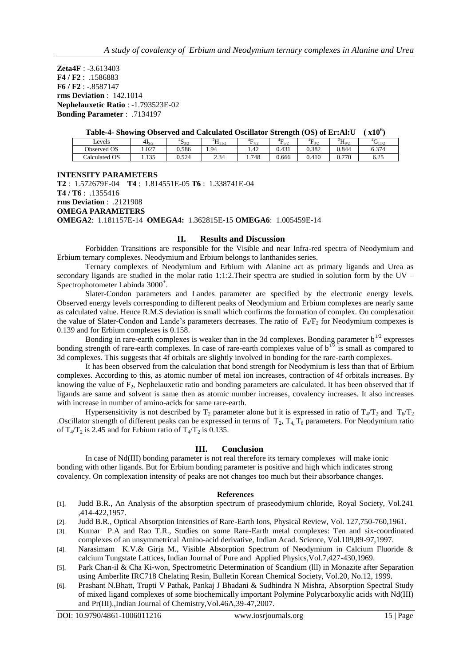**Zeta4F** : -3.613403 **F4 / F2** : .1586883 **F6 / F2** : -.8587147 **rms Deviation** : 142.1014 **Nephelauxetic Ratio** : -1.793523E-02 **Bonding Parameter** : .7134197

| Table-4- Showing Observed and Calculated Oscillator Strength (OS) of Er:Al:U (x10 <sup>6</sup> ) |  |
|--------------------------------------------------------------------------------------------------|--|
|                                                                                                  |  |

| Levels        | $\tilde{\phantom{a}}$<br>$4I_{9/2}$ | 4c<br>3/2 | 2T.<br>$\Pi_{11/2}$                      | ${}^{4}F_{7/2}$ | $4\Gamma$<br>¬~~ | $\rm{^{4}F_{20}}$<br>$-5/2$ | ${}^{2}H_{9/2}$ | $\mathbf{U}_{11/2}$ |
|---------------|-------------------------------------|-----------|------------------------------------------|-----------------|------------------|-----------------------------|-----------------|---------------------|
| Observed OS   | $\Omega$<br>1.021                   | 0.586     | 1.94                                     | 1.42            | 0.431            | 0.382                       | 0.844           | 6.374               |
| Calculated OS | $\sim$<br>1.100                     | J.524     | $\sim$ $\sim$ $\sim$<br>-44<br>- - - - - | .748            | 0.666            | 0.410                       | .770<br>∪.7     | くつく<br>0.ZJ         |

**INTENSITY PARAMETERS T2** : 1.572679E-04 **T4** : 1.814551E-05 **T6** : 1.338741E-04 **T4 / T6** : .1355416 **rms Deviation** : .2121908 **OMEGA PARAMETERS OMEGA2**: 1.181157E-14 **OMEGA4:** 1.362815E-15 **OMEGA6**: 1.005459E-14

#### **II. Results and Discussion**

Forbidden Transitions are responsible for the Visible and near Infra-red spectra of Neodymium and Erbium ternary complexes. Neodymium and Erbium belongs to lanthanides series.

Ternary complexes of Neodymium and Erbium with Alanine act as primary ligands and Urea as secondary ligands are studied in the molar ratio 1:1:2.Their spectra are studied in solution form by the UV – Spectrophotometer Labinda 3000<sup>+</sup>.

Slater-Condon parameters and Landes parameter are specified by the electronic energy levels. Observed energy levels corresponding to different peaks of Neodymium and Erbium complexes are nearly same as calculated value. Hence R.M.S deviation is small which confirms the formation of complex. On complexation the value of Slater-Condon and Lande's parameters decreases. The ratio of  $F_4/F_2$  for Neodymium compexes is 0.139 and for Erbium complexes is 0.158.

Bonding in rare-earth complexes is weaker than in the 3d complexes. Bonding parameter  $b^{1/2}$  expresses bonding strength of rare-earth complexes. In case of rare-earth complexes value of  $b^{1/2}$  is small as compared to 3d complexes. This suggests that 4f orbitals are slightly involved in bonding for the rare-earth complexes.

It has been observed from the calculation that bond strength for Neodymium is less than that of Erbium complexes. According to this, as atomic number of metal ion increases, contraction of 4f orbitals increases. By knowing the value of  $F_2$ , Nephelauxetic ratio and bonding parameters are calculated. It has been observed that if ligands are same and solvent is same then as atomic number increases, covalency increases. It also increases with increase in number of amino-acids for same rare-earth.

Hypersensitivity is not described by  $T_2$  parameter alone but it is expressed in ratio of  $T_4/T_2$  and  $T_6/T_2$ .Oscillator strength of different peaks can be expressed in terms of  $T_2$ ,  $T_4$ ,  $T_6$  parameters. For Neodymium ratio of  $T_4/T_2$  is 2.45 and for Erbium ratio of  $T_4/T_2$  is 0.135.

# **III. Conclusion**

In case of Nd(III) bonding parameter is not real therefore its ternary complexes will make ionic bonding with other ligands. But for Erbium bonding parameter is positive and high which indicates strong covalency. On complexation intensity of peaks are not changes too much but their absorbance changes.

# **References**

- [1]. Judd B.R., An Analysis of the absorption spectrum of praseodymium chloride, Royal Society, Vol.241 ,414-422,1957.
- [2]. Judd B.R., Optical Absorption Intensities of Rare-Earth Ions, Physical Review, Vol. 127,750-760,1961.
- [3]. Kumar P.A and Rao T.R., Studies on some Rare-Earth metal complexes: Ten and six-coordinated complexes of an unsymmetrical Amino-acid derivative, Indian Acad. Science, Vol.109,89-97,1997.
- [4]. Narasimam K.V.& Girja M., Visible Absorption Spectrum of Neodymium in Calcium Fluoride & calcium Tungstate Lattices, Indian Journal of Pure and Applied Physics,Vol.7,427-430,1969.
- [5]. Park Chan-il & Cha Ki-won, Spectrometric Determination of Scandium (lll) in Monazite after Separation using Amberlite IRC718 Chelating Resin, Bulletin Korean Chemical Society, Vol.20, No.12, 1999.
- [6]. Prashant N.Bhatt, Trupti V Pathak, Pankaj J Bhadani & Sudhindra N Mishra, Absorption Spectral Study of mixed ligand complexes of some biochemically important Polymine Polycarboxylic acids with Nd(III) and Pr(III).,Indian Journal of Chemistry,Vol.46A,39-47,2007.